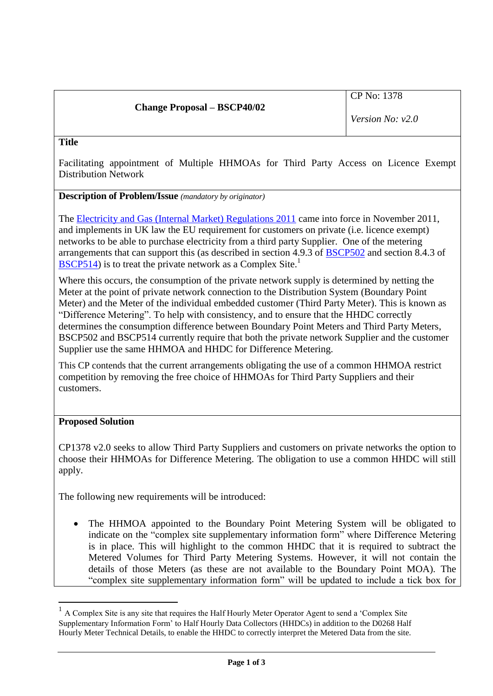# **Change Proposal – BSCP40/02**

*Version No: v2.0*

#### **Title**

Facilitating appointment of Multiple HHMOAs for Third Party Access on Licence Exempt Distribution Network

**Description of Problem/Issue** *(mandatory by originator)*

The [Electricity and Gas \(Internal Market\) Regulations 2011](http://www.legislation.gov.uk/uksi/2011/2704/contents/made) came into force in November 2011, and implements in UK law the EU requirement for customers on private (i.e. licence exempt) networks to be able to purchase electricity from a third party Supplier. One of the metering arrangements that can support this (as described in section 4.9.3 of [BSCP502](http://www.elexon.co.uk/wp-content/uploads/2012/11/bscp502_v22.0.pdf) and section 8.4.3 of [BSCP514\)](http://www.elexon.co.uk/wp-content/uploads/2012/11/bscp514_v25.0.pdf) is to treat the private network as a Complex Site.<sup>1</sup>

Where this occurs, the consumption of the private network supply is determined by netting the Meter at the point of private network connection to the Distribution System (Boundary Point Meter) and the Meter of the individual embedded customer (Third Party Meter). This is known as "Difference Metering". To help with consistency, and to ensure that the HHDC correctly determines the consumption difference between Boundary Point Meters and Third Party Meters, BSCP502 and BSCP514 currently require that both the private network Supplier and the customer Supplier use the same HHMOA and HHDC for Difference Metering.

This CP contends that the current arrangements obligating the use of a common HHMOA restrict competition by removing the free choice of HHMOAs for Third Party Suppliers and their customers.

## **Proposed Solution**

 $\overline{a}$ 

CP1378 v2.0 seeks to allow Third Party Suppliers and customers on private networks the option to choose their HHMOAs for Difference Metering. The obligation to use a common HHDC will still apply.

The following new requirements will be introduced:

• The HHMOA appointed to the Boundary Point Metering System will be obligated to indicate on the "complex site supplementary information form" where Difference Metering is in place. This will highlight to the common HHDC that it is required to subtract the Metered Volumes for Third Party Metering Systems. However, it will not contain the details of those Meters (as these are not available to the Boundary Point MOA). The "complex site supplementary information form" will be updated to include a tick box for

<sup>&</sup>lt;sup>1</sup> A Complex Site is any site that requires the Half Hourly Meter Operator Agent to send a 'Complex Site Supplementary Information Form' to Half Hourly Data Collectors (HHDCs) in addition to the D0268 Half Hourly Meter Technical Details, to enable the HHDC to correctly interpret the Metered Data from the site.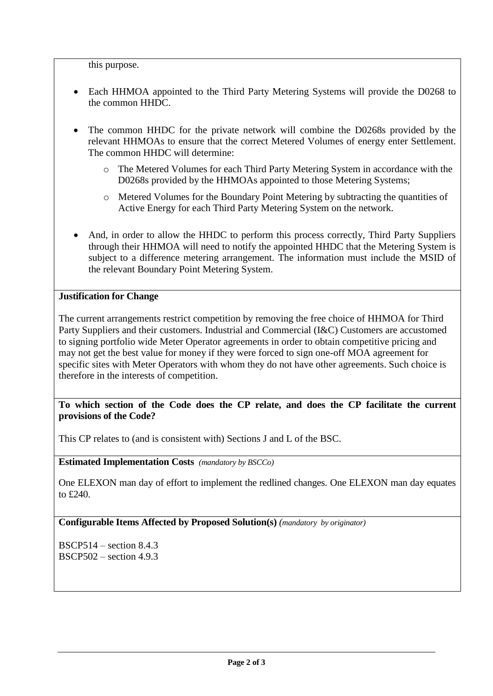this purpose.

- Each HHMOA appointed to the Third Party Metering Systems will provide the D0268 to the common HHDC.
- The common HHDC for the private network will combine the D0268s provided by the relevant HHMOAs to ensure that the correct Metered Volumes of energy enter Settlement. The common HHDC will determine:
	- o The Metered Volumes for each Third Party Metering System in accordance with the D0268s provided by the HHMOAs appointed to those Metering Systems;
	- o Metered Volumes for the Boundary Point Metering by subtracting the quantities of Active Energy for each Third Party Metering System on the network.
- And, in order to allow the HHDC to perform this process correctly, Third Party Suppliers through their HHMOA will need to notify the appointed HHDC that the Metering System is subject to a difference metering arrangement. The information must include the MSID of the relevant Boundary Point Metering System.

## **Justification for Change**

The current arrangements restrict competition by removing the free choice of HHMOA for Third Party Suppliers and their customers. Industrial and Commercial (I&C) Customers are accustomed to signing portfolio wide Meter Operator agreements in order to obtain competitive pricing and may not get the best value for money if they were forced to sign one-off MOA agreement for specific sites with Meter Operators with whom they do not have other agreements. Such choice is therefore in the interests of competition.

# **To which section of the Code does the CP relate, and does the CP facilitate the current provisions of the Code?**

This CP relates to (and is consistent with) Sections J and L of the BSC.

**Estimated Implementation Costs** *(mandatory by BSCCo)*

One ELEXON man day of effort to implement the redlined changes. One ELEXON man day equates to £240.

**Configurable Items Affected by Proposed Solution(s)** *(mandatory by originator)*

BSCP514 – section 8.4.3 BSCP502 – section 4.9.3